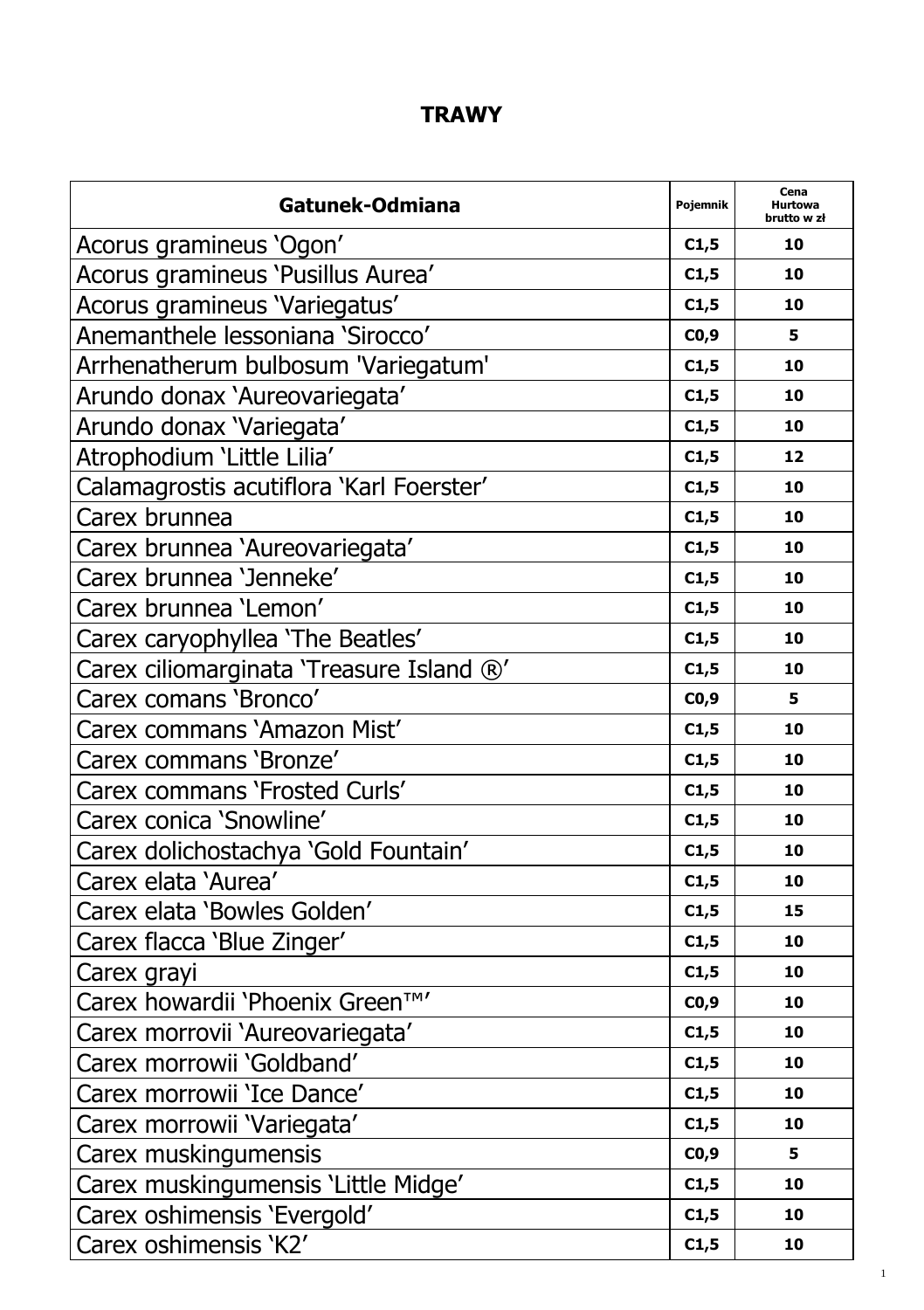## **TRAWY**

| Gatunek-Odmiana                          | Pojemnik | Cena<br>Hurtowa<br>brutto w zł |
|------------------------------------------|----------|--------------------------------|
| Acorus gramineus 'Ogon'                  | C1,5     | 10                             |
| Acorus gramineus 'Pusillus Aurea'        | C1,5     | 10                             |
| Acorus gramineus 'Variegatus'            | C1,5     | 10                             |
| Anemanthele lessoniana 'Sirocco'         | CO,9     | 5                              |
| Arrhenatherum bulbosum 'Variegatum'      | C1,5     | 10                             |
| Arundo donax 'Aureovariegata'            | C1,5     | 10                             |
| Arundo donax 'Variegata'                 | C1,5     | 10                             |
| Atrophodium 'Little Lilia'               | C1,5     | 12                             |
| Calamagrostis acutiflora 'Karl Foerster' | C1,5     | 10                             |
| Carex brunnea                            | C1,5     | 10                             |
| Carex brunnea 'Aureovariegata'           | C1,5     | 10                             |
| Carex brunnea 'Jenneke'                  | C1,5     | 10                             |
| Carex brunnea 'Lemon'                    | C1,5     | 10                             |
| Carex caryophyllea 'The Beatles'         | C1,5     | 10                             |
| Carex ciliomarginata 'Treasure Island ®' | C1,5     | 10                             |
| Carex comans 'Bronco'                    | CO,9     | 5                              |
| Carex commans 'Amazon Mist'              | C1,5     | 10                             |
| Carex commans 'Bronze'                   | C1,5     | 10                             |
| Carex commans 'Frosted Curls'            | C1,5     | 10                             |
| Carex conica 'Snowline'                  | C1,5     | 10                             |
| Carex dolichostachya 'Gold Fountain'     | C1,5     | 10                             |
| Carex elata 'Aurea'                      | C1,5     | 10                             |
| Carex elata 'Bowles Golden'              | C1,5     | 15                             |
| Carex flacca 'Blue Zinger'               | C1,5     | 10                             |
| Carex grayi                              | C1,5     | 10                             |
| Carex howardii 'Phoenix Green™'          | CO,9     | 10                             |
| Carex morrovii 'Aureovariegata'          | C1,5     | 10                             |
| Carex morrowii 'Goldband'                | C1,5     | 10                             |
| Carex morrowii 'Ice Dance'               | C1,5     | 10                             |
| Carex morrowii 'Variegata'               | C1,5     | 10                             |
| Carex muskingumensis                     | CO, 9    | 5                              |
| Carex muskingumensis 'Little Midge'      | C1,5     | 10                             |
| Carex oshimensis 'Evergold'              | C1,5     | 10                             |
| Carex oshimensis 'K2'                    | C1,5     | 10                             |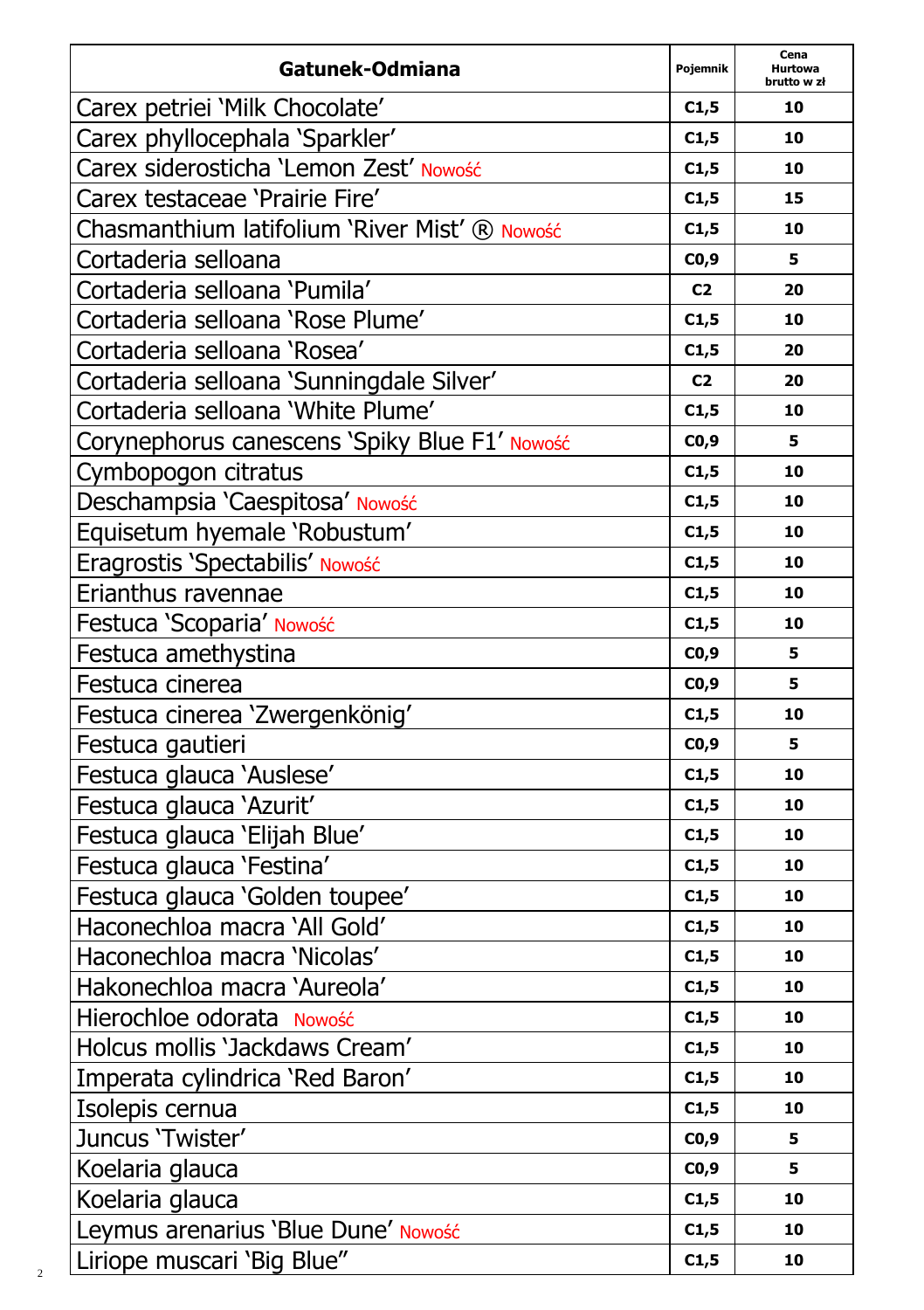| Gatunek-Odmiana                               | Pojemnik       | Cena<br>Hurtowa<br>brutto w zł |
|-----------------------------------------------|----------------|--------------------------------|
| Carex petriei 'Milk Chocolate'                | C1,5           | 10                             |
| Carex phyllocephala 'Sparkler'                | C1,5           | 10                             |
| Carex siderosticha 'Lemon Zest' Nowość        | C1,5           | 10                             |
| Carex testaceae 'Prairie Fire'                | C1,5           | 15                             |
| Chasmanthium latifolium 'River Mist' ® Nowość | C1,5           | 10                             |
| Cortaderia selloana                           | CO,9           | 5                              |
| Cortaderia selloana 'Pumila'                  | C <sub>2</sub> | 20                             |
| Cortaderia selloana 'Rose Plume'              | C1,5           | 10                             |
| Cortaderia selloana 'Rosea'                   | C1,5           | 20                             |
| Cortaderia selloana 'Sunningdale Silver'      | C <sub>2</sub> | 20                             |
| Cortaderia selloana 'White Plume'             | C1,5           | 10                             |
| Corynephorus canescens 'Spiky Blue F1' Nowość | CO,9           | 5                              |
| Cymbopogon citratus                           | C1,5           | 10                             |
| Deschampsia 'Caespitosa' Nowość               | C1,5           | 10                             |
| Equisetum hyemale 'Robustum'                  | C1,5           | 10                             |
| Eragrostis 'Spectabilis' Nowość               | C1,5           | 10                             |
| Erianthus ravennae                            | C1,5           | 10                             |
| Festuca 'Scoparia' Nowość                     | C1,5           | 10                             |
| Festuca amethystina                           | CO,9           | 5                              |
| Festuca cinerea                               | CO, 9          | 5                              |
| Festuca cinerea 'Zwergenkönig'                | C1,5           | 10                             |
| Festuca gautieri                              | C0,9           | 5                              |
| Festuca glauca 'Auslese'                      | C1,5           | 10                             |
| Festuca glauca 'Azurit'                       | C1,5           | 10                             |
| Festuca glauca 'Elijah Blue'                  | C1,5           | 10                             |
| Festuca glauca 'Festina'                      | C1,5           | 10                             |
| Festuca glauca 'Golden toupee'                | C1,5           | 10                             |
| Haconechloa macra 'All Gold'                  | C1,5           | 10                             |
| Haconechloa macra 'Nicolas'                   | C1,5           | 10                             |
| Hakonechloa macra 'Aureola'                   | C1,5           | 10                             |
| Hierochloe odorata Nowość                     | C1,5           | 10                             |
| Holcus mollis 'Jackdaws Cream'                | C1,5           | 10                             |
| Imperata cylindrica 'Red Baron'               | C1,5           | 10                             |
| Isolepis cernua                               | C1,5           | 10                             |
| Juncus 'Twister'                              | CO,9           | 5                              |
| Koelaria glauca                               | C0,9           | 5                              |
| Koelaria glauca                               | C1,5           | 10                             |
| Leymus arenarius 'Blue Dune' Nowość           | C1,5           | 10                             |
| Liriope muscari 'Big Blue"                    | C1,5           | 10                             |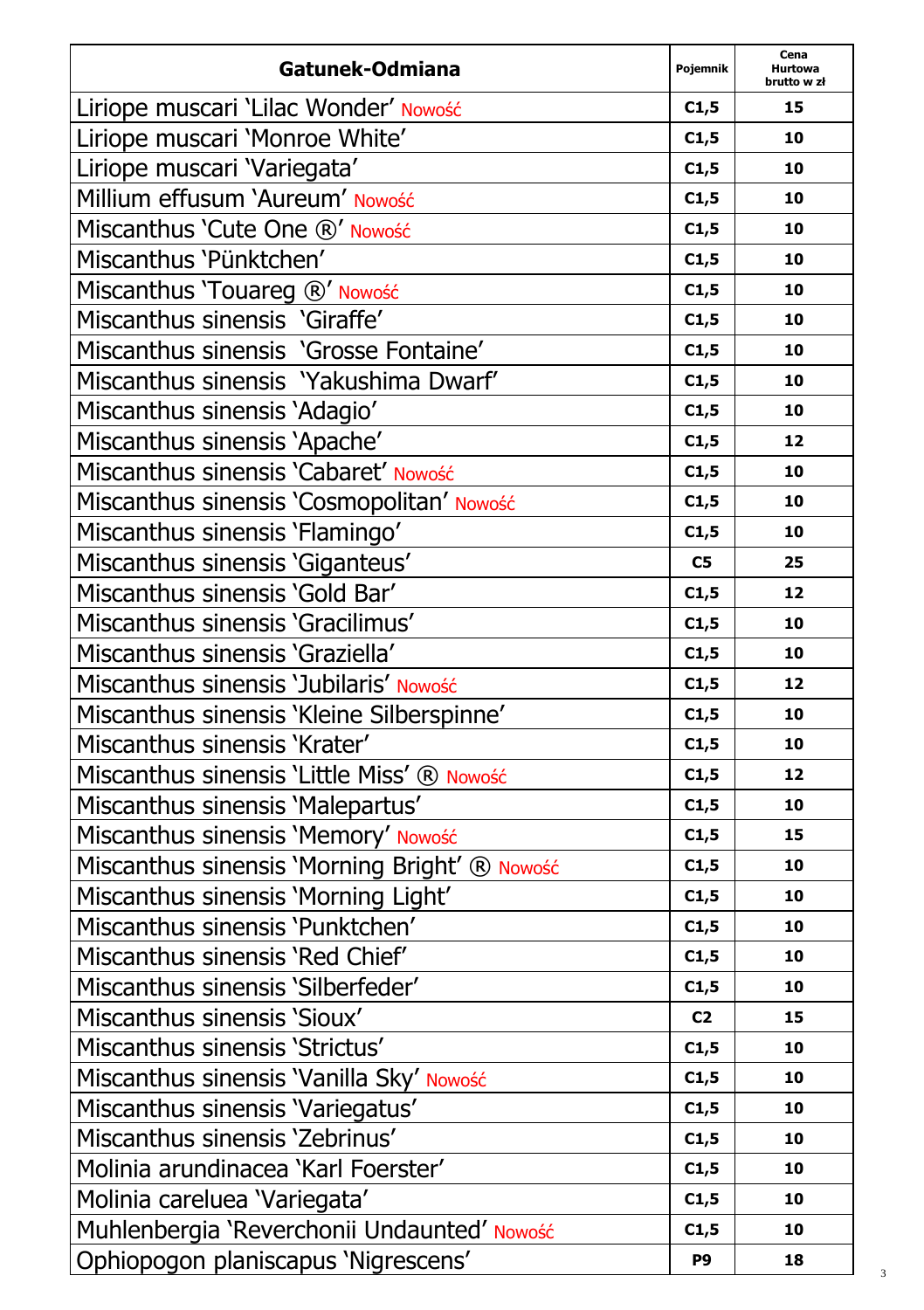| Gatunek-Odmiana                               | Pojemnik       | Cena<br><b>Hurtowa</b><br>brutto w zł |
|-----------------------------------------------|----------------|---------------------------------------|
| Liriope muscari 'Lilac Wonder' Nowość         | C1,5           | 15                                    |
| Liriope muscari 'Monroe White'                | C1,5           | 10                                    |
| Liriope muscari 'Variegata'                   | C1,5           | 10                                    |
| Millium effusum 'Aureum' Nowość               | C1,5           | 10                                    |
| Miscanthus 'Cute One ®' Nowość                | C1,5           | 10                                    |
| Miscanthus 'Pünktchen'                        | C1,5           | 10                                    |
| Miscanthus 'Touareg ®' Nowość                 | C1,5           | 10                                    |
| Miscanthus sinensis 'Giraffe'                 | C1,5           | 10                                    |
| Miscanthus sinensis 'Grosse Fontaine'         | C1,5           | 10                                    |
| Miscanthus sinensis 'Yakushima Dwarf'         | C1,5           | 10                                    |
| Miscanthus sinensis 'Adagio'                  | C1,5           | 10                                    |
| Miscanthus sinensis 'Apache'                  | C1,5           | 12                                    |
| Miscanthus sinensis 'Cabaret' Nowość          | C1,5           | 10                                    |
| Miscanthus sinensis 'Cosmopolitan' Nowość     | C1,5           | 10                                    |
| Miscanthus sinensis 'Flamingo'                | C1,5           | 10                                    |
| Miscanthus sinensis 'Giganteus'               | ${\sf C5}$     | 25                                    |
| Miscanthus sinensis 'Gold Bar'                | C1,5           | 12                                    |
| Miscanthus sinensis 'Gracilimus'              | C1,5           | 10                                    |
| Miscanthus sinensis 'Graziella'               | C1,5           | 10                                    |
| Miscanthus sinensis 'Jubilaris' Nowość        | C1,5           | 12                                    |
| Miscanthus sinensis 'Kleine Silberspinne'     | C1,5           | 10                                    |
| Miscanthus sinensis 'Krater'                  | C1,5           | 10                                    |
| Miscanthus sinensis 'Little Miss' ® Nowość    | C1,5           | 12                                    |
| Miscanthus sinensis 'Malepartus'              | C1,5           | 10                                    |
| Miscanthus sinensis 'Memory' Nowość           | C1,5           | 15                                    |
| Miscanthus sinensis 'Morning Bright' ® Nowość | C1,5           | 10                                    |
| Miscanthus sinensis 'Morning Light'           | C1,5           | 10                                    |
| Miscanthus sinensis 'Punktchen'               | C1,5           | 10                                    |
| Miscanthus sinensis 'Red Chief'               | C1,5           | 10                                    |
| Miscanthus sinensis 'Silberfeder'             | C1,5           | 10                                    |
| Miscanthus sinensis 'Sioux'                   | C <sub>2</sub> | 15                                    |
| Miscanthus sinensis 'Strictus'                | C1,5           | 10                                    |
| Miscanthus sinensis 'Vanilla Sky' Nowość      | C1,5           | 10                                    |
| Miscanthus sinensis 'Variegatus'              | C1,5           | 10                                    |
| Miscanthus sinensis 'Zebrinus'                | C1,5           | 10                                    |
| Molinia arundinacea 'Karl Foerster'           | C1,5           | 10                                    |
| Molinia careluea 'Variegata'                  | C1,5           | 10                                    |
| Muhlenbergia 'Reverchonii Undaunted' Nowość   | C1,5           | 10                                    |
| Ophiopogon planiscapus 'Nigrescens'           | P9             | 18                                    |